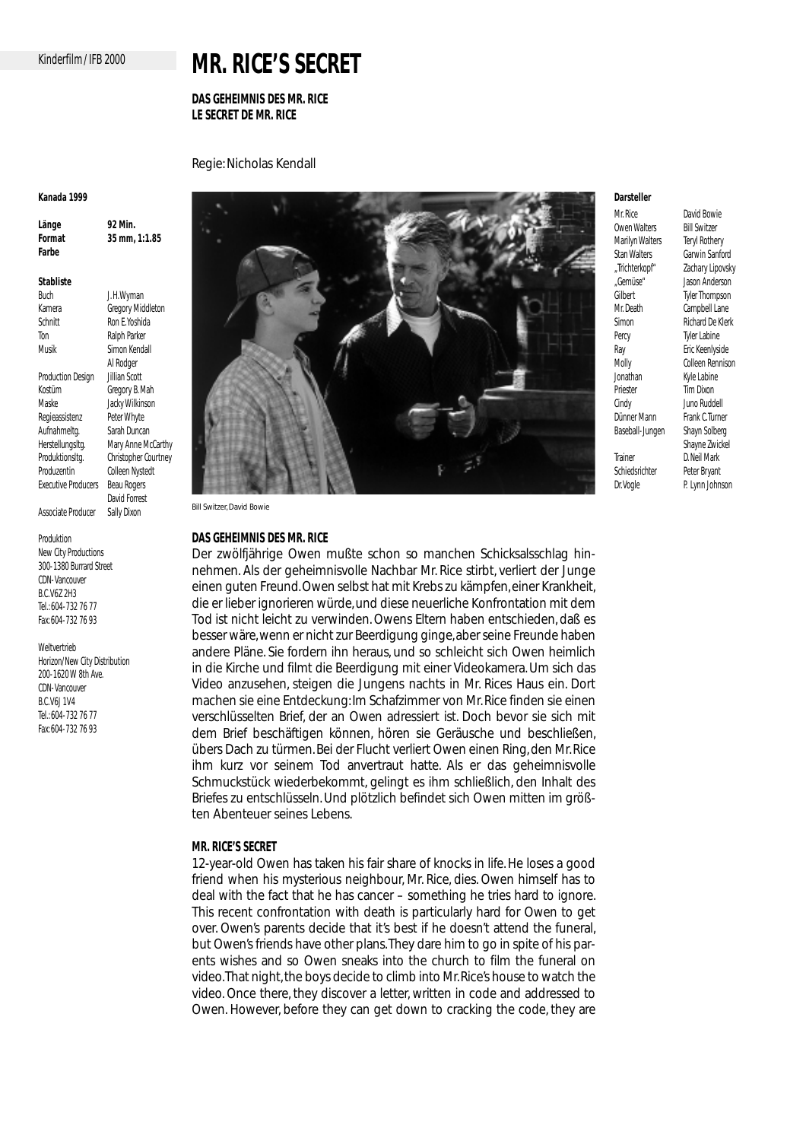# Kinderfilm / IFB 2000

# **MR. RICE'S SECRET**

# **DAS GEHEIMNIS DES MR. RICE LE SECRET DE MR. RICE**

Regie: Nicholas Kendall

#### **Kanada 1999**

**Länge 92 Min. Format 35 mm, 1:1.85 Farbe** 

# **Stabliste**

J. H. Wyman Kamera **Gregory Middleton** Schnitt<br>
Ton Ralph Parker Ralph Parker Musik Simon Kendall Al Rodger Production Design Kostüm Gregory B. Mah Maske Jacky Wilkinson Regieassistenz Peter Whyte Aufnahmeltg. Sarah Duncan Herstellungsltg. Mary Anne McCarthy<br>Produktionsltg. Christopher Courtney Christopher Courtney Produzentin Colleen Nystedt<br>Executive Producers Beau Rogers Executive Producers David Forrest Associate Producer Sally Dixon

Produktion

New City Productions 300-1380 Burrard Street CDN-Vancouver B.C.V6Z 2H3 Tel.: 604-732 76 77 Fax: 604-732 76 93

Weltvertrieb Horizon/New City Distribution 200-1620 W 8th Ave. CDN-Vancouver B.C.V6J 1V4 Tel.: 604-732 76 77 Fax: 604-732 76 93



Bill Switzer, David Bowie

## **DAS GEHEIMNIS DES MR. RICE**

Der zwölfjährige Owen mußte schon so manchen Schicksalsschlag hinnehmen. Als der geheimnisvolle Nachbar Mr. Rice stirbt, verliert der Junge einen guten Freund. Owen selbst hat mit Krebs zu kämpfen, einer Krankheit, die er lieber ignorieren würde, und diese neuerliche Konfrontation mit dem Tod ist nicht leicht zu verwinden. Owens Eltern haben entschieden, daß es besser wäre, wenn er nicht zur Beerdigung ginge, aber seine Freunde haben andere Pläne. Sie fordern ihn heraus, und so schleicht sich Owen heimlich in die Kirche und filmt die Beerdigung mit einer Videokamera. Um sich das Video anzusehen, steigen die Jungens nachts in Mr. Rices Haus ein. Dort machen sie eine Entdeckung: Im Schafzimmer von Mr. Rice finden sie einen verschlüsselten Brief, der an Owen adressiert ist. Doch bevor sie sich mit dem Brief beschäftigen können, hören sie Geräusche und beschließen, übers Dach zu türmen. Bei der Flucht verliert Owen einen Ring, den Mr. Rice ihm kurz vor seinem Tod anvertraut hatte. Als er das geheimnisvolle Schmuckstück wiederbekommt, gelingt es ihm schließlich, den Inhalt des Briefes zu entschlüsseln. Und plötzlich befindet sich Owen mitten im größten Abenteuer seines Lebens.

## **MR. RICE'S SECRET**

12-year-old Owen has taken his fair share of knocks in life. He loses a good friend when his mysterious neighbour, Mr. Rice, dies. Owen himself has to deal with the fact that he has cancer – something he tries hard to ignore. This recent confrontation with death is particularly hard for Owen to get over. Owen's parents decide that it's best if he doesn't attend the funeral, but Owen's friends have other plans.They dare him to go in spite of his parents wishes and so Owen sneaks into the church to film the funeral on video.That night, the boys decide to climb into Mr.Rice's house to watch the video. Once there, they discover a letter, written in code and addressed to Owen. However, before they can get down to cracking the code, they are

#### **Darsteller**

Owen Walters Bill Switzer<br>Marilyn Walters Tervl Rothery Marilyn Walters Stan Walters **Garwin Sanford** "Gemüse" Jason Anderson<br>Cilbert – Juler Thompson Mr. Death Campbell Lane Simon Richard De Klerk<br>Percy Tyler Labine Ray Eric Keenlyside<br>Molly Colleen Rennis Priester Tim Dixon Cindy Juno Ruddell Dünner Mann Frank C.Turner Baseball-Jungen Shayn Solberg Trainer D. Neil Mark Schiedsrichter Peter Bryant<br>Dr. Vogle P. Lynn John

Mr. Rice David Bowie "Trichterkopf" Zachary Lipovsky Tyler Thompson Tyler Labine Molly Colleen Rennison<br>Jonathan Kyle Labine Kyle Labine Shayne Zwickel P. Lynn Johnson